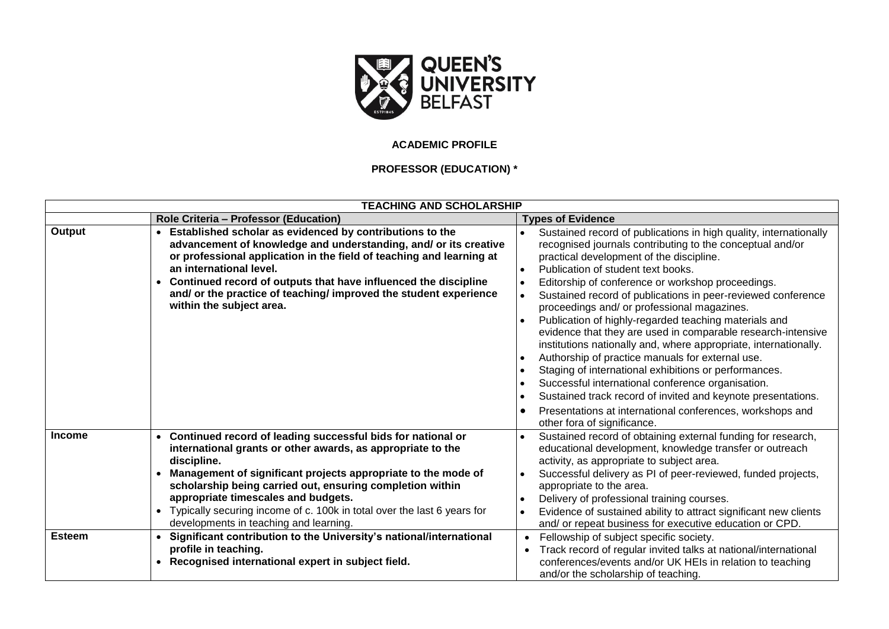

## **ACADEMIC PROFILE**

## **PROFESSOR (EDUCATION) \***

| <b>TEACHING AND SCHOLARSHIP</b> |                                                                                                                                                                                                                                                                                                                                                                                                                                                               |                                                                                                                                                                                                                                                                                                                                                                                                                                                                                                                                                                                                                                                                                                                                                                                                                                                                                                                 |
|---------------------------------|---------------------------------------------------------------------------------------------------------------------------------------------------------------------------------------------------------------------------------------------------------------------------------------------------------------------------------------------------------------------------------------------------------------------------------------------------------------|-----------------------------------------------------------------------------------------------------------------------------------------------------------------------------------------------------------------------------------------------------------------------------------------------------------------------------------------------------------------------------------------------------------------------------------------------------------------------------------------------------------------------------------------------------------------------------------------------------------------------------------------------------------------------------------------------------------------------------------------------------------------------------------------------------------------------------------------------------------------------------------------------------------------|
|                                 | Role Criteria - Professor (Education)                                                                                                                                                                                                                                                                                                                                                                                                                         | <b>Types of Evidence</b>                                                                                                                                                                                                                                                                                                                                                                                                                                                                                                                                                                                                                                                                                                                                                                                                                                                                                        |
| Output                          | Established scholar as evidenced by contributions to the<br>$\bullet$<br>advancement of knowledge and understanding, and/ or its creative<br>or professional application in the field of teaching and learning at<br>an international level.<br>Continued record of outputs that have influenced the discipline<br>and/ or the practice of teaching/ improved the student experience<br>within the subject area.                                              | Sustained record of publications in high quality, internationally<br>recognised journals contributing to the conceptual and/or<br>practical development of the discipline.<br>Publication of student text books.<br>Editorship of conference or workshop proceedings.<br>Sustained record of publications in peer-reviewed conference<br>proceedings and/ or professional magazines.<br>Publication of highly-regarded teaching materials and<br>evidence that they are used in comparable research-intensive<br>institutions nationally and, where appropriate, internationally.<br>Authorship of practice manuals for external use.<br>Staging of international exhibitions or performances.<br>Successful international conference organisation.<br>Sustained track record of invited and keynote presentations.<br>Presentations at international conferences, workshops and<br>other fora of significance. |
| <b>Income</b>                   | Continued record of leading successful bids for national or<br>$\bullet$<br>international grants or other awards, as appropriate to the<br>discipline.<br>Management of significant projects appropriate to the mode of<br>scholarship being carried out, ensuring completion within<br>appropriate timescales and budgets.<br>Typically securing income of c. 100k in total over the last 6 years for<br>$\bullet$<br>developments in teaching and learning. | Sustained record of obtaining external funding for research,<br>educational development, knowledge transfer or outreach<br>activity, as appropriate to subject area.<br>Successful delivery as PI of peer-reviewed, funded projects,<br>appropriate to the area.<br>Delivery of professional training courses.<br>Evidence of sustained ability to attract significant new clients<br>and/ or repeat business for executive education or CPD.                                                                                                                                                                                                                                                                                                                                                                                                                                                                   |
| <b>Esteem</b>                   | Significant contribution to the University's national/international<br>profile in teaching.<br>Recognised international expert in subject field.<br>$\bullet$                                                                                                                                                                                                                                                                                                 | Fellowship of subject specific society.<br>$\bullet$<br>Track record of regular invited talks at national/international<br>conferences/events and/or UK HEIs in relation to teaching<br>and/or the scholarship of teaching.                                                                                                                                                                                                                                                                                                                                                                                                                                                                                                                                                                                                                                                                                     |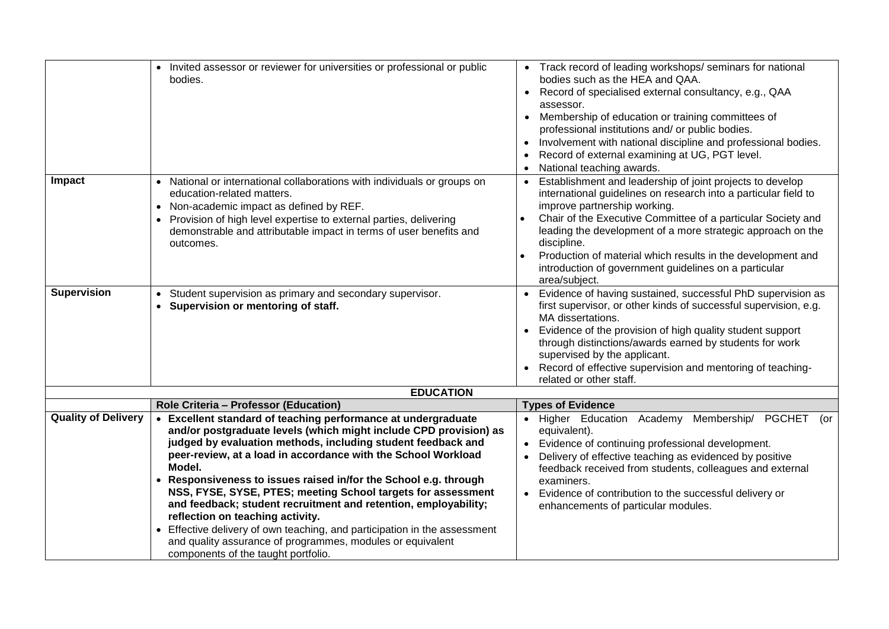|                            | • Invited assessor or reviewer for universities or professional or public<br>bodies.                                                                                                                                                                                                                                                                                                                                                                                                                                                                                                                                                                                                                       | • Track record of leading workshops/seminars for national<br>bodies such as the HEA and QAA.<br>Record of specialised external consultancy, e.g., QAA<br>assessor.<br>Membership of education or training committees of<br>$\bullet$<br>professional institutions and/ or public bodies.<br>Involvement with national discipline and professional bodies.<br>$\bullet$<br>Record of external examining at UG, PGT level.<br>National teaching awards.<br>$\bullet$ |
|----------------------------|------------------------------------------------------------------------------------------------------------------------------------------------------------------------------------------------------------------------------------------------------------------------------------------------------------------------------------------------------------------------------------------------------------------------------------------------------------------------------------------------------------------------------------------------------------------------------------------------------------------------------------------------------------------------------------------------------------|--------------------------------------------------------------------------------------------------------------------------------------------------------------------------------------------------------------------------------------------------------------------------------------------------------------------------------------------------------------------------------------------------------------------------------------------------------------------|
| Impact                     | • National or international collaborations with individuals or groups on<br>education-related matters.<br>• Non-academic impact as defined by REF.<br>Provision of high level expertise to external parties, delivering<br>demonstrable and attributable impact in terms of user benefits and<br>outcomes.                                                                                                                                                                                                                                                                                                                                                                                                 | Establishment and leadership of joint projects to develop<br>international guidelines on research into a particular field to<br>improve partnership working.<br>Chair of the Executive Committee of a particular Society and<br>leading the development of a more strategic approach on the<br>discipline.<br>Production of material which results in the development and<br>introduction of government guidelines on a particular<br>area/subject.                |
| <b>Supervision</b>         | • Student supervision as primary and secondary supervisor.<br>• Supervision or mentoring of staff.                                                                                                                                                                                                                                                                                                                                                                                                                                                                                                                                                                                                         | Evidence of having sustained, successful PhD supervision as<br>first supervisor, or other kinds of successful supervision, e.g.<br>MA dissertations.<br>Evidence of the provision of high quality student support<br>through distinctions/awards earned by students for work<br>supervised by the applicant.<br>Record of effective supervision and mentoring of teaching-<br>related or other staff.                                                              |
|                            | <b>EDUCATION</b>                                                                                                                                                                                                                                                                                                                                                                                                                                                                                                                                                                                                                                                                                           |                                                                                                                                                                                                                                                                                                                                                                                                                                                                    |
|                            | Role Criteria - Professor (Education)                                                                                                                                                                                                                                                                                                                                                                                                                                                                                                                                                                                                                                                                      | <b>Types of Evidence</b>                                                                                                                                                                                                                                                                                                                                                                                                                                           |
| <b>Quality of Delivery</b> | • Excellent standard of teaching performance at undergraduate<br>and/or postgraduate levels (which might include CPD provision) as<br>judged by evaluation methods, including student feedback and<br>peer-review, at a load in accordance with the School Workload<br>Model.<br>• Responsiveness to issues raised in/for the School e.g. through<br>NSS, FYSE, SYSE, PTES; meeting School targets for assessment<br>and feedback; student recruitment and retention, employability;<br>reflection on teaching activity.<br>• Effective delivery of own teaching, and participation in the assessment<br>and quality assurance of programmes, modules or equivalent<br>components of the taught portfolio. | Higher Education Academy Membership/ PGCHET (or<br>$\bullet$<br>equivalent).<br>Evidence of continuing professional development.<br>Delivery of effective teaching as evidenced by positive<br>feedback received from students, colleagues and external<br>examiners.<br>Evidence of contribution to the successful delivery or<br>$\bullet$<br>enhancements of particular modules.                                                                                |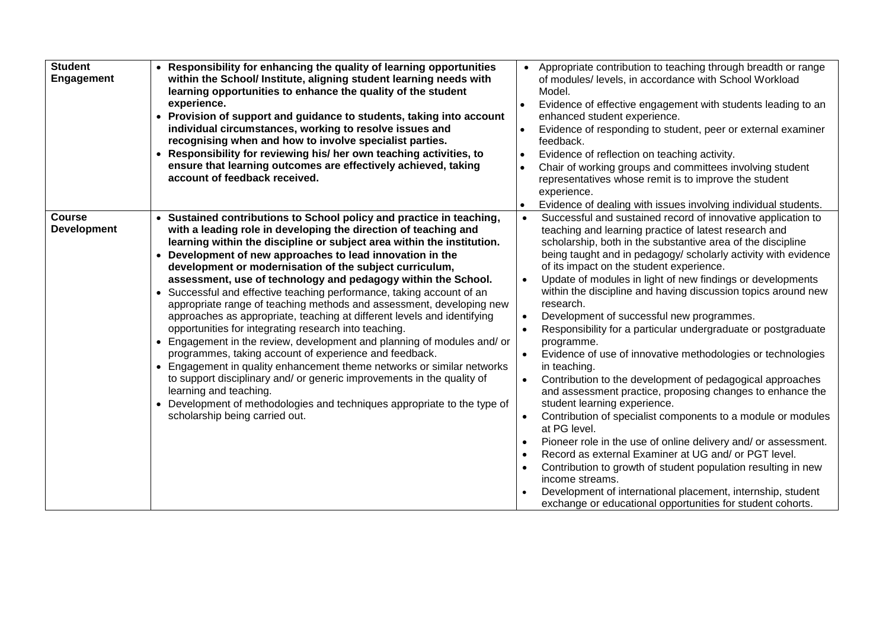| <b>Student</b><br><b>Engagement</b> | • Responsibility for enhancing the quality of learning opportunities<br>within the School/ Institute, aligning student learning needs with<br>learning opportunities to enhance the quality of the student<br>experience.<br>• Provision of support and guidance to students, taking into account<br>individual circumstances, working to resolve issues and<br>recognising when and how to involve specialist parties.<br>• Responsibility for reviewing his/ her own teaching activities, to<br>ensure that learning outcomes are effectively achieved, taking<br>account of feedback received.                                                                                                                                                                                                                                                                                                                                                                                                                                                                                                                              | Appropriate contribution to teaching through breadth or range<br>of modules/ levels, in accordance with School Workload<br>Model.<br>Evidence of effective engagement with students leading to an<br>$\bullet$<br>enhanced student experience.<br>Evidence of responding to student, peer or external examiner<br>feedback.<br>Evidence of reflection on teaching activity.<br>Chair of working groups and committees involving student<br>representatives whose remit is to improve the student<br>experience.<br>Evidence of dealing with issues involving individual students.                                                                                                                                                                                                                                                                                                                                                                                                                                                                                                                                                                                                                                                                                                                               |
|-------------------------------------|--------------------------------------------------------------------------------------------------------------------------------------------------------------------------------------------------------------------------------------------------------------------------------------------------------------------------------------------------------------------------------------------------------------------------------------------------------------------------------------------------------------------------------------------------------------------------------------------------------------------------------------------------------------------------------------------------------------------------------------------------------------------------------------------------------------------------------------------------------------------------------------------------------------------------------------------------------------------------------------------------------------------------------------------------------------------------------------------------------------------------------|-----------------------------------------------------------------------------------------------------------------------------------------------------------------------------------------------------------------------------------------------------------------------------------------------------------------------------------------------------------------------------------------------------------------------------------------------------------------------------------------------------------------------------------------------------------------------------------------------------------------------------------------------------------------------------------------------------------------------------------------------------------------------------------------------------------------------------------------------------------------------------------------------------------------------------------------------------------------------------------------------------------------------------------------------------------------------------------------------------------------------------------------------------------------------------------------------------------------------------------------------------------------------------------------------------------------|
| <b>Course</b><br><b>Development</b> | • Sustained contributions to School policy and practice in teaching,<br>with a leading role in developing the direction of teaching and<br>learning within the discipline or subject area within the institution.<br>• Development of new approaches to lead innovation in the<br>development or modernisation of the subject curriculum,<br>assessment, use of technology and pedagogy within the School.<br>• Successful and effective teaching performance, taking account of an<br>appropriate range of teaching methods and assessment, developing new<br>approaches as appropriate, teaching at different levels and identifying<br>opportunities for integrating research into teaching.<br>• Engagement in the review, development and planning of modules and/ or<br>programmes, taking account of experience and feedback.<br>• Engagement in quality enhancement theme networks or similar networks<br>to support disciplinary and/ or generic improvements in the quality of<br>learning and teaching.<br>Development of methodologies and techniques appropriate to the type of<br>scholarship being carried out. | Successful and sustained record of innovative application to<br>teaching and learning practice of latest research and<br>scholarship, both in the substantive area of the discipline<br>being taught and in pedagogy/ scholarly activity with evidence<br>of its impact on the student experience.<br>Update of modules in light of new findings or developments<br>within the discipline and having discussion topics around new<br>research.<br>Development of successful new programmes.<br>Responsibility for a particular undergraduate or postgraduate<br>$\bullet$<br>programme.<br>Evidence of use of innovative methodologies or technologies<br>in teaching.<br>Contribution to the development of pedagogical approaches<br>and assessment practice, proposing changes to enhance the<br>student learning experience.<br>Contribution of specialist components to a module or modules<br>$\bullet$<br>at PG level.<br>Pioneer role in the use of online delivery and/ or assessment.<br>$\bullet$<br>Record as external Examiner at UG and/ or PGT level.<br>$\bullet$<br>Contribution to growth of student population resulting in new<br>$\bullet$<br>income streams.<br>Development of international placement, internship, student<br>exchange or educational opportunities for student cohorts. |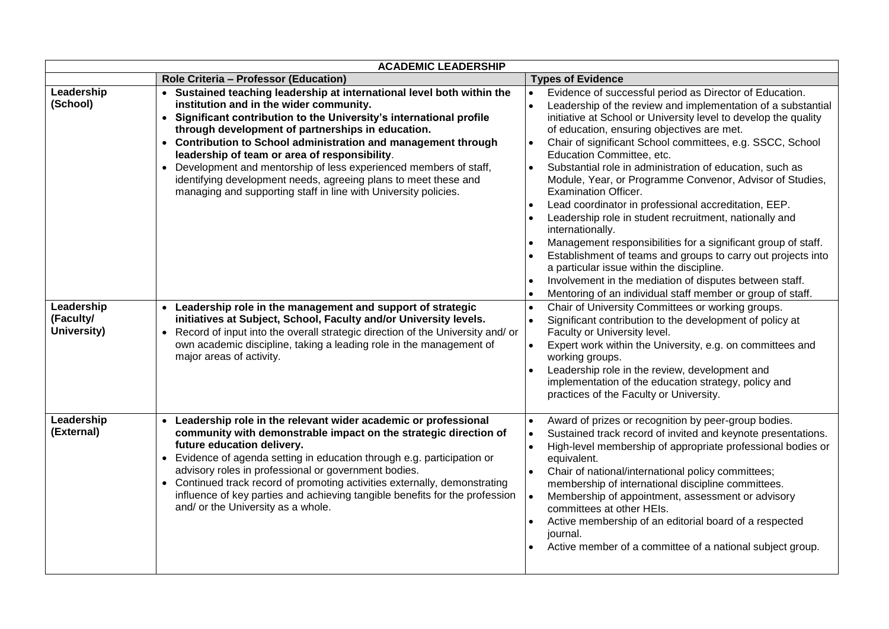| <b>ACADEMIC LEADERSHIP</b>             |                                                                                                                                                                                                                                                                                                                                                                                                                                                                                                                                                                             |                                                                                                                                                                                                                                                                                                                                                                                                                                                                                                                                                                                                                                                                                                                                                                                                                                                                                                                                        |  |
|----------------------------------------|-----------------------------------------------------------------------------------------------------------------------------------------------------------------------------------------------------------------------------------------------------------------------------------------------------------------------------------------------------------------------------------------------------------------------------------------------------------------------------------------------------------------------------------------------------------------------------|----------------------------------------------------------------------------------------------------------------------------------------------------------------------------------------------------------------------------------------------------------------------------------------------------------------------------------------------------------------------------------------------------------------------------------------------------------------------------------------------------------------------------------------------------------------------------------------------------------------------------------------------------------------------------------------------------------------------------------------------------------------------------------------------------------------------------------------------------------------------------------------------------------------------------------------|--|
|                                        | Role Criteria - Professor (Education)                                                                                                                                                                                                                                                                                                                                                                                                                                                                                                                                       | <b>Types of Evidence</b>                                                                                                                                                                                                                                                                                                                                                                                                                                                                                                                                                                                                                                                                                                                                                                                                                                                                                                               |  |
| Leadership<br>(School)                 | • Sustained teaching leadership at international level both within the<br>institution and in the wider community.<br>• Significant contribution to the University's international profile<br>through development of partnerships in education.<br>• Contribution to School administration and management through<br>leadership of team or area of responsibility.<br>Development and mentorship of less experienced members of staff,<br>identifying development needs, agreeing plans to meet these and<br>managing and supporting staff in line with University policies. | Evidence of successful period as Director of Education.<br>Leadership of the review and implementation of a substantial<br>initiative at School or University level to develop the quality<br>of education, ensuring objectives are met.<br>Chair of significant School committees, e.g. SSCC, School<br>Education Committee, etc.<br>Substantial role in administration of education, such as<br>Module, Year, or Programme Convenor, Advisor of Studies,<br><b>Examination Officer.</b><br>Lead coordinator in professional accreditation, EEP.<br>Leadership role in student recruitment, nationally and<br>internationally.<br>Management responsibilities for a significant group of staff.<br>Establishment of teams and groups to carry out projects into<br>a particular issue within the discipline.<br>Involvement in the mediation of disputes between staff.<br>Mentoring of an individual staff member or group of staff. |  |
| Leadership<br>(Faculty/<br>University) | Leadership role in the management and support of strategic<br>initiatives at Subject, School, Faculty and/or University levels.<br>Record of input into the overall strategic direction of the University and/ or<br>$\bullet$<br>own academic discipline, taking a leading role in the management of<br>major areas of activity.                                                                                                                                                                                                                                           | Chair of University Committees or working groups.<br>$\bullet$<br>Significant contribution to the development of policy at<br>Faculty or University level.<br>Expert work within the University, e.g. on committees and<br>$\bullet$<br>working groups.<br>Leadership role in the review, development and<br>implementation of the education strategy, policy and<br>practices of the Faculty or University.                                                                                                                                                                                                                                                                                                                                                                                                                                                                                                                           |  |
| Leadership<br>(External)               | Leadership role in the relevant wider academic or professional<br>community with demonstrable impact on the strategic direction of<br>future education delivery.<br>• Evidence of agenda setting in education through e.g. participation or<br>advisory roles in professional or government bodies.<br>• Continued track record of promoting activities externally, demonstrating<br>influence of key parties and achieving tangible benefits for the profession<br>and/ or the University as a whole.                                                                      | Award of prizes or recognition by peer-group bodies.<br>Sustained track record of invited and keynote presentations.<br>High-level membership of appropriate professional bodies or<br>equivalent.<br>Chair of national/international policy committees;<br>membership of international discipline committees.<br>Membership of appointment, assessment or advisory<br>committees at other HEIs.<br>Active membership of an editorial board of a respected<br>journal.<br>Active member of a committee of a national subject group.                                                                                                                                                                                                                                                                                                                                                                                                    |  |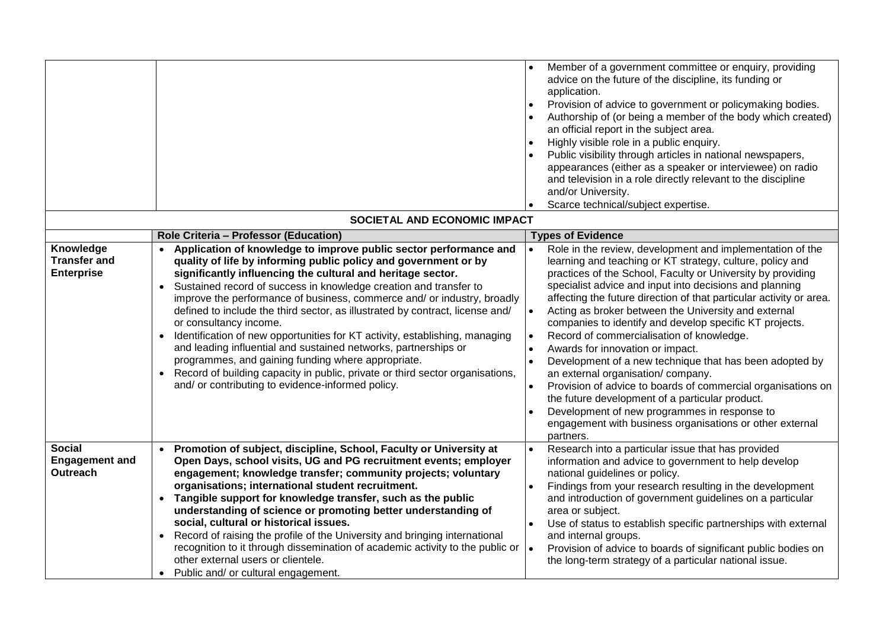|                                                       |                                                                                                                                                                                                                                                                                                                                                                                                                                                                                                                                                                                                                                                                                                                                                                                                                             | application.<br>an official report in the subject area.<br>Highly visible role in a public enquiry.<br>and/or University.<br>Scarce technical/subject expertise.                                                                   | Member of a government committee or enquiry, providing<br>advice on the future of the discipline, its funding or<br>Provision of advice to government or policymaking bodies.<br>Authorship of (or being a member of the body which created)<br>Public visibility through articles in national newspapers,<br>appearances (either as a speaker or interviewee) on radio<br>and television in a role directly relevant to the discipline                                                                                                                                                                                           |
|-------------------------------------------------------|-----------------------------------------------------------------------------------------------------------------------------------------------------------------------------------------------------------------------------------------------------------------------------------------------------------------------------------------------------------------------------------------------------------------------------------------------------------------------------------------------------------------------------------------------------------------------------------------------------------------------------------------------------------------------------------------------------------------------------------------------------------------------------------------------------------------------------|------------------------------------------------------------------------------------------------------------------------------------------------------------------------------------------------------------------------------------|-----------------------------------------------------------------------------------------------------------------------------------------------------------------------------------------------------------------------------------------------------------------------------------------------------------------------------------------------------------------------------------------------------------------------------------------------------------------------------------------------------------------------------------------------------------------------------------------------------------------------------------|
| SOCIETAL AND ECONOMIC IMPACT                          |                                                                                                                                                                                                                                                                                                                                                                                                                                                                                                                                                                                                                                                                                                                                                                                                                             |                                                                                                                                                                                                                                    |                                                                                                                                                                                                                                                                                                                                                                                                                                                                                                                                                                                                                                   |
|                                                       | Role Criteria - Professor (Education)                                                                                                                                                                                                                                                                                                                                                                                                                                                                                                                                                                                                                                                                                                                                                                                       | <b>Types of Evidence</b>                                                                                                                                                                                                           |                                                                                                                                                                                                                                                                                                                                                                                                                                                                                                                                                                                                                                   |
| Knowledge<br><b>Transfer and</b><br><b>Enterprise</b> | Application of knowledge to improve public sector performance and<br>quality of life by informing public policy and government or by<br>significantly influencing the cultural and heritage sector.<br>• Sustained record of success in knowledge creation and transfer to<br>improve the performance of business, commerce and/ or industry, broadly<br>defined to include the third sector, as illustrated by contract, license and/<br>or consultancy income.<br>Identification of new opportunities for KT activity, establishing, managing<br>and leading influential and sustained networks, partnerships or<br>programmes, and gaining funding where appropriate.<br>Record of building capacity in public, private or third sector organisations,<br>$\bullet$<br>and/ or contributing to evidence-informed policy. | Record of commercialisation of knowledge.<br>Awards for innovation or impact.<br>an external organisation/company.<br>the future development of a particular product.<br>Development of new programmes in response to<br>partners. | Role in the review, development and implementation of the<br>learning and teaching or KT strategy, culture, policy and<br>practices of the School, Faculty or University by providing<br>specialist advice and input into decisions and planning<br>affecting the future direction of that particular activity or area.<br>Acting as broker between the University and external<br>companies to identify and develop specific KT projects.<br>Development of a new technique that has been adopted by<br>Provision of advice to boards of commercial organisations on<br>engagement with business organisations or other external |
| <b>Social</b>                                         | • Promotion of subject, discipline, School, Faculty or University at                                                                                                                                                                                                                                                                                                                                                                                                                                                                                                                                                                                                                                                                                                                                                        |                                                                                                                                                                                                                                    | Research into a particular issue that has provided                                                                                                                                                                                                                                                                                                                                                                                                                                                                                                                                                                                |
| <b>Engagement and</b><br><b>Outreach</b>              | Open Days, school visits, UG and PG recruitment events; employer<br>engagement; knowledge transfer; community projects; voluntary                                                                                                                                                                                                                                                                                                                                                                                                                                                                                                                                                                                                                                                                                           | national guidelines or policy.                                                                                                                                                                                                     | information and advice to government to help develop                                                                                                                                                                                                                                                                                                                                                                                                                                                                                                                                                                              |
|                                                       | organisations; international student recruitment.                                                                                                                                                                                                                                                                                                                                                                                                                                                                                                                                                                                                                                                                                                                                                                           |                                                                                                                                                                                                                                    | Findings from your research resulting in the development                                                                                                                                                                                                                                                                                                                                                                                                                                                                                                                                                                          |
|                                                       | • Tangible support for knowledge transfer, such as the public<br>understanding of science or promoting better understanding of                                                                                                                                                                                                                                                                                                                                                                                                                                                                                                                                                                                                                                                                                              | area or subject.                                                                                                                                                                                                                   | and introduction of government guidelines on a particular                                                                                                                                                                                                                                                                                                                                                                                                                                                                                                                                                                         |
|                                                       | social, cultural or historical issues.                                                                                                                                                                                                                                                                                                                                                                                                                                                                                                                                                                                                                                                                                                                                                                                      |                                                                                                                                                                                                                                    | Use of status to establish specific partnerships with external                                                                                                                                                                                                                                                                                                                                                                                                                                                                                                                                                                    |
|                                                       | • Record of raising the profile of the University and bringing international<br>recognition to it through dissemination of academic activity to the public or<br>other external users or clientele.                                                                                                                                                                                                                                                                                                                                                                                                                                                                                                                                                                                                                         | and internal groups.                                                                                                                                                                                                               | Provision of advice to boards of significant public bodies on<br>the long-term strategy of a particular national issue.                                                                                                                                                                                                                                                                                                                                                                                                                                                                                                           |
|                                                       | Public and/ or cultural engagement.<br>$\bullet$                                                                                                                                                                                                                                                                                                                                                                                                                                                                                                                                                                                                                                                                                                                                                                            |                                                                                                                                                                                                                                    |                                                                                                                                                                                                                                                                                                                                                                                                                                                                                                                                                                                                                                   |